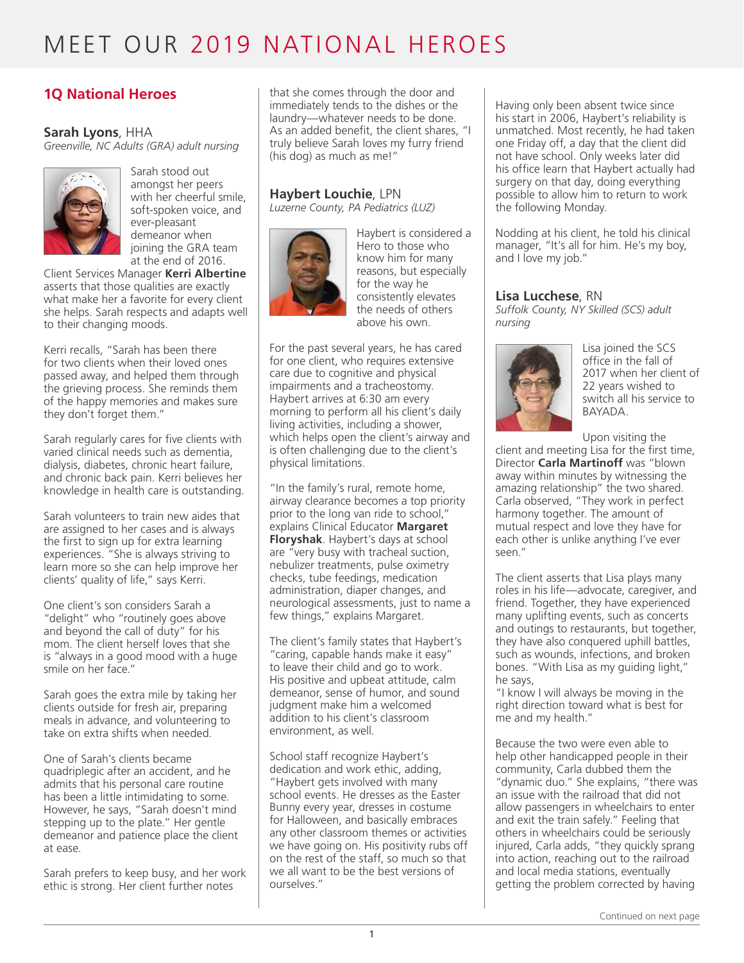### **1Q National Heroes**

#### **Sarah Lyons**, HHA

*Greenville, NC Adults (GRA) adult nursing* 



Sarah stood out amongst her peers with her cheerful smile, soft-spoken voice, and ever-pleasant demeanor when joining the GRA team at the end of 2016.

Client Services Manager **Kerri Albertine** asserts that those qualities are exactly what make her a favorite for every client she helps. Sarah respects and adapts well to their changing moods.

Kerri recalls, "Sarah has been there for two clients when their loved ones passed away, and helped them through the grieving process. She reminds them of the happy memories and makes sure they don't forget them."

Sarah regularly cares for five clients with varied clinical needs such as dementia, dialysis, diabetes, chronic heart failure, and chronic back pain. Kerri believes her knowledge in health care is outstanding.

Sarah volunteers to train new aides that are assigned to her cases and is always the first to sign up for extra learning experiences. "She is always striving to learn more so she can help improve her clients' quality of life," says Kerri.

One client's son considers Sarah a "delight" who "routinely goes above and beyond the call of duty" for his mom. The client herself loves that she is "always in a good mood with a huge smile on her face."

Sarah goes the extra mile by taking her clients outside for fresh air, preparing meals in advance, and volunteering to take on extra shifts when needed.

One of Sarah's clients became quadriplegic after an accident, and he admits that his personal care routine has been a little intimidating to some. However, he says, "Sarah doesn't mind stepping up to the plate." Her gentle demeanor and patience place the client at ease.

Sarah prefers to keep busy, and her work ethic is strong. Her client further notes

that she comes through the door and immediately tends to the dishes or the laundry—whatever needs to be done. As an added benefit, the client shares, "I truly believe Sarah loves my furry friend (his dog) as much as me!"

#### **Haybert Louchie**, LPN

*Luzerne County, PA Pediatrics (LUZ)*



Haybert is considered a Hero to those who know him for many reasons, but especially for the way he consistently elevates the needs of others above his own.

For the past several years, he has cared for one client, who requires extensive care due to cognitive and physical impairments and a tracheostomy. Haybert arrives at 6:30 am every morning to perform all his client's daily living activities, including a shower, which helps open the client's airway and is often challenging due to the client's physical limitations.

"In the family's rural, remote home, airway clearance becomes a top priority prior to the long van ride to school," explains Clinical Educator **Margaret Floryshak**. Haybert's days at school are "very busy with tracheal suction, nebulizer treatments, pulse oximetry checks, tube feedings, medication administration, diaper changes, and neurological assessments, just to name a few things," explains Margaret.

The client's family states that Haybert's "caring, capable hands make it easy" to leave their child and go to work. His positive and upbeat attitude, calm demeanor, sense of humor, and sound judgment make him a welcomed addition to his client's classroom environment, as well.

School staff recognize Haybert's dedication and work ethic, adding, "Haybert gets involved with many school events. He dresses as the Easter Bunny every year, dresses in costume for Halloween, and basically embraces any other classroom themes or activities we have going on. His positivity rubs off on the rest of the staff, so much so that we all want to be the best versions of ourselves."

Having only been absent twice since his start in 2006, Haybert's reliability is unmatched. Most recently, he had taken one Friday off, a day that the client did not have school. Only weeks later did his office learn that Haybert actually had surgery on that day, doing everything possible to allow him to return to work the following Monday.

Nodding at his client, he told his clinical manager, "It's all for him. He's my boy, and I love my job."

#### **Lisa Lucchese**, RN

*Suffolk County, NY Skilled (SCS) adult nursing*



Lisa joined the SCS office in the fall of 2017 when her client of 22 years wished to switch all his service to BAYADA.

Upon visiting the

client and meeting Lisa for the first time, Director **Carla Martinoff** was "blown away within minutes by witnessing the amazing relationship" the two shared. Carla observed, "They work in perfect harmony together. The amount of mutual respect and love they have for each other is unlike anything I've ever seen."

The client asserts that Lisa plays many roles in his life—advocate, caregiver, and friend. Together, they have experienced many uplifting events, such as concerts and outings to restaurants, but together, they have also conquered uphill battles, such as wounds, infections, and broken bones. "With Lisa as my guiding light," he says,

"I know I will always be moving in the right direction toward what is best for me and my health."

Because the two were even able to help other handicapped people in their community, Carla dubbed them the "dynamic duo." She explains, "there was an issue with the railroad that did not allow passengers in wheelchairs to enter and exit the train safely." Feeling that others in wheelchairs could be seriously injured, Carla adds, "they quickly sprang into action, reaching out to the railroad and local media stations, eventually getting the problem corrected by having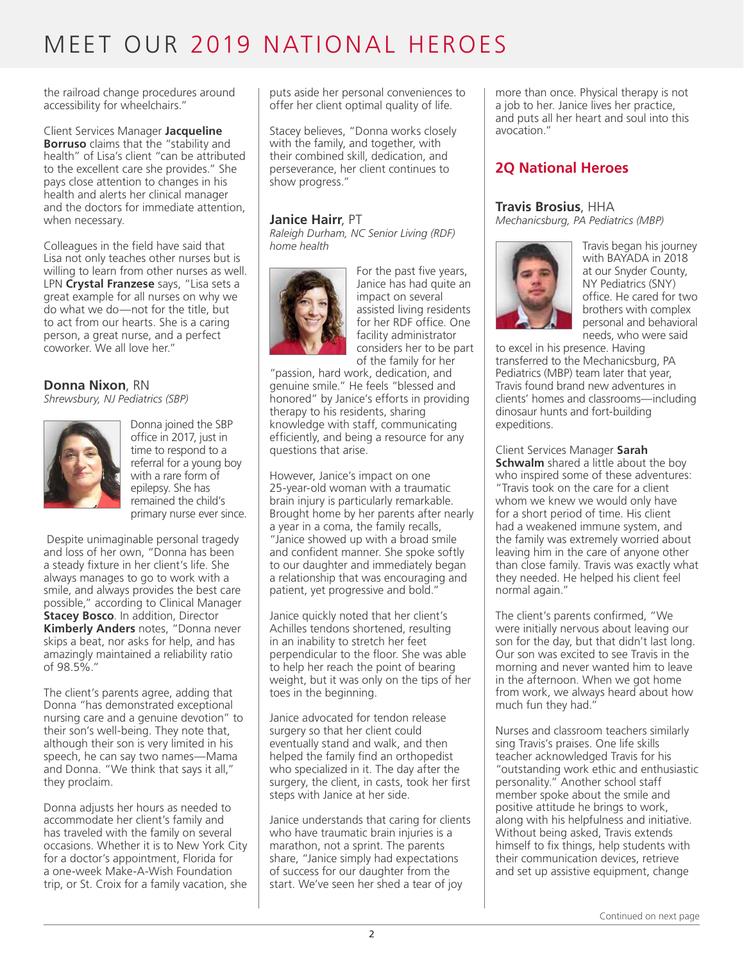the railroad change procedures around accessibility for wheelchairs."

Client Services Manager **Jacqueline Borruso** claims that the "stability and health" of Lisa's client "can be attributed to the excellent care she provides." She pays close attention to changes in his health and alerts her clinical manager and the doctors for immediate attention, when necessary.

Colleagues in the field have said that Lisa not only teaches other nurses but is willing to learn from other nurses as well. LPN **Crystal Franzese** says, "Lisa sets a great example for all nurses on why we do what we do—not for the title, but to act from our hearts. She is a caring person, a great nurse, and a perfect coworker. We all love her."

#### **Donna Nixon**, RN

*Shrewsbury, NJ Pediatrics (SBP)*



Donna joined the SBP office in 2017, just in time to respond to a referral for a young boy with a rare form of epilepsy. She has remained the child's primary nurse ever since.

 Despite unimaginable personal tragedy and loss of her own, "Donna has been a steady fixture in her client's life. She always manages to go to work with a smile, and always provides the best care possible," according to Clinical Manager **Stacey Bosco**. In addition, Director **Kimberly Anders** notes, "Donna never skips a beat, nor asks for help, and has amazingly maintained a reliability ratio of 98.5%."

The client's parents agree, adding that Donna "has demonstrated exceptional nursing care and a genuine devotion" to their son's well-being. They note that, although their son is very limited in his speech, he can say two names—Mama and Donna. "We think that says it all," they proclaim.

Donna adjusts her hours as needed to accommodate her client's family and has traveled with the family on several occasions. Whether it is to New York City for a doctor's appointment, Florida for a one-week Make-A-Wish Foundation trip, or St. Croix for a family vacation, she puts aside her personal conveniences to offer her client optimal quality of life.

Stacey believes, "Donna works closely with the family, and together, with their combined skill, dedication, and perseverance, her client continues to show progress."

#### **Janice Hairr**, PT

*Raleigh Durham, NC Senior Living (RDF) home health*



For the past five years, Janice has had quite an impact on several assisted living residents for her RDF office. One facility administrator considers her to be part of the family for her

"passion, hard work, dedication, and genuine smile." He feels "blessed and honored" by Janice's efforts in providing therapy to his residents, sharing knowledge with staff, communicating efficiently, and being a resource for any questions that arise.

However, Janice's impact on one 25-year-old woman with a traumatic brain injury is particularly remarkable. Brought home by her parents after nearly a year in a coma, the family recalls, "Janice showed up with a broad smile and confident manner. She spoke softly to our daughter and immediately began a relationship that was encouraging and patient, yet progressive and bold."

Janice quickly noted that her client's Achilles tendons shortened, resulting in an inability to stretch her feet perpendicular to the floor. She was able to help her reach the point of bearing weight, but it was only on the tips of her toes in the beginning.

Janice advocated for tendon release surgery so that her client could eventually stand and walk, and then helped the family find an orthopedist who specialized in it. The day after the surgery, the client, in casts, took her first steps with Janice at her side.

Janice understands that caring for clients who have traumatic brain injuries is a marathon, not a sprint. The parents share, "Janice simply had expectations of success for our daughter from the start. We've seen her shed a tear of joy

more than once. Physical therapy is not a job to her. Janice lives her practice, and puts all her heart and soul into this avocation."

### **2Q National Heroes**

#### **Travis Brosius**, HHA

*Mechanicsburg, PA Pediatrics (MBP)*



Travis began his journey with BAYADA in 2018 at our Snyder County, NY Pediatrics (SNY) office. He cared for two brothers with complex personal and behavioral needs, who were said

to excel in his presence. Having transferred to the Mechanicsburg, PA Pediatrics (MBP) team later that year, Travis found brand new adventures in clients' homes and classrooms—including dinosaur hunts and fort-building expeditions.

Client Services Manager **Sarah Schwalm** shared a little about the boy who inspired some of these adventures: "Travis took on the care for a client whom we knew we would only have for a short period of time. His client had a weakened immune system, and the family was extremely worried about leaving him in the care of anyone other than close family. Travis was exactly what they needed. He helped his client feel normal again."

The client's parents confirmed, "We were initially nervous about leaving our son for the day, but that didn't last long. Our son was excited to see Travis in the morning and never wanted him to leave in the afternoon. When we got home from work, we always heard about how much fun they had."

Nurses and classroom teachers similarly sing Travis's praises. One life skills teacher acknowledged Travis for his "outstanding work ethic and enthusiastic personality." Another school staff member spoke about the smile and positive attitude he brings to work, along with his helpfulness and initiative. Without being asked, Travis extends himself to fix things, help students with their communication devices, retrieve and set up assistive equipment, change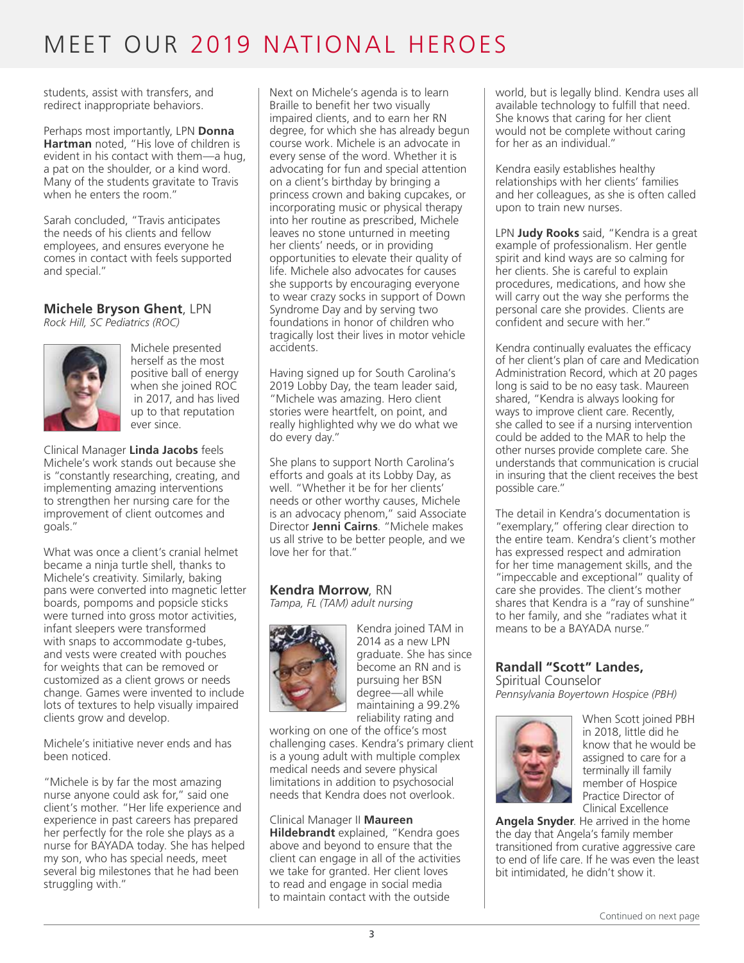students, assist with transfers, and redirect inappropriate behaviors.

Perhaps most importantly, LPN **Donna Hartman** noted, "His love of children is evident in his contact with them—a hug, a pat on the shoulder, or a kind word. Many of the students gravitate to Travis when he enters the room."

Sarah concluded, "Travis anticipates the needs of his clients and fellow employees, and ensures everyone he comes in contact with feels supported and special."

### **Michele Bryson Ghent**, LPN

*Rock Hill, SC Pediatrics (ROC)*



Michele presented herself as the most positive ball of energy when she joined ROC in 2017, and has lived up to that reputation ever since.

Clinical Manager **Linda Jacobs** feels Michele's work stands out because she is "constantly researching, creating, and implementing amazing interventions to strengthen her nursing care for the improvement of client outcomes and goals."

What was once a client's cranial helmet became a ninja turtle shell, thanks to Michele's creativity. Similarly, baking pans were converted into magnetic letter boards, pompoms and popsicle sticks were turned into gross motor activities, infant sleepers were transformed with snaps to accommodate g-tubes, and vests were created with pouches for weights that can be removed or customized as a client grows or needs change. Games were invented to include lots of textures to help visually impaired clients grow and develop.

Michele's initiative never ends and has been noticed.

"Michele is by far the most amazing nurse anyone could ask for," said one client's mother. "Her life experience and experience in past careers has prepared her perfectly for the role she plays as a nurse for BAYADA today. She has helped my son, who has special needs, meet several big milestones that he had been struggling with."

Next on Michele's agenda is to learn Braille to benefit her two visually impaired clients, and to earn her RN degree, for which she has already begun course work. Michele is an advocate in every sense of the word. Whether it is advocating for fun and special attention on a client's birthday by bringing a princess crown and baking cupcakes, or incorporating music or physical therapy into her routine as prescribed, Michele leaves no stone unturned in meeting her clients' needs, or in providing opportunities to elevate their quality of life. Michele also advocates for causes she supports by encouraging everyone to wear crazy socks in support of Down Syndrome Day and by serving two foundations in honor of children who tragically lost their lives in motor vehicle accidents.

Having signed up for South Carolina's 2019 Lobby Day, the team leader said, "Michele was amazing. Hero client stories were heartfelt, on point, and really highlighted why we do what we do every day."

She plans to support North Carolina's efforts and goals at its Lobby Day, as well. "Whether it be for her clients' needs or other worthy causes, Michele is an advocacy phenom," said Associate Director **Jenni Cairns**. "Michele makes us all strive to be better people, and we love her for that."

## **Kendra Morrow**, RN

*Tampa, FL (TAM) adult nursing* 



Kendra joined TAM in 2014 as a new LPN graduate. She has since become an RN and is pursuing her BSN degree—all while maintaining a 99.2% reliability rating and

working on one of the office's most challenging cases. Kendra's primary client is a young adult with multiple complex medical needs and severe physical limitations in addition to psychosocial needs that Kendra does not overlook.

Clinical Manager II **Maureen Hildebrandt** explained, "Kendra goes above and beyond to ensure that the client can engage in all of the activities we take for granted. Her client loves to read and engage in social media to maintain contact with the outside

world, but is legally blind. Kendra uses all available technology to fulfill that need. She knows that caring for her client would not be complete without caring for her as an individual."

Kendra easily establishes healthy relationships with her clients' families and her colleagues, as she is often called upon to train new nurses.

LPN **Judy Rooks** said, "Kendra is a great example of professionalism. Her gentle spirit and kind ways are so calming for her clients. She is careful to explain procedures, medications, and how she will carry out the way she performs the personal care she provides. Clients are confident and secure with her."

Kendra continually evaluates the efficacy of her client's plan of care and Medication Administration Record, which at 20 pages long is said to be no easy task. Maureen shared, "Kendra is always looking for ways to improve client care. Recently, she called to see if a nursing intervention could be added to the MAR to help the other nurses provide complete care. She understands that communication is crucial in insuring that the client receives the best possible care."

The detail in Kendra's documentation is "exemplary," offering clear direction to the entire team. Kendra's client's mother has expressed respect and admiration for her time management skills, and the "impeccable and exceptional" quality of care she provides. The client's mother shares that Kendra is a "ray of sunshine" to her family, and she "radiates what it means to be a BAYADA nurse."

#### **Randall "Scott" Landes,**  Spiritual Counselor

*Pennsylvania Boyertown Hospice (PBH)*



When Scott joined PBH in 2018, little did he know that he would be assigned to care for a terminally ill family member of Hospice Practice Director of Clinical Excellence

**Angela Snyder**. He arrived in the home the day that Angela's family member transitioned from curative aggressive care to end of life care. If he was even the least bit intimidated, he didn't show it.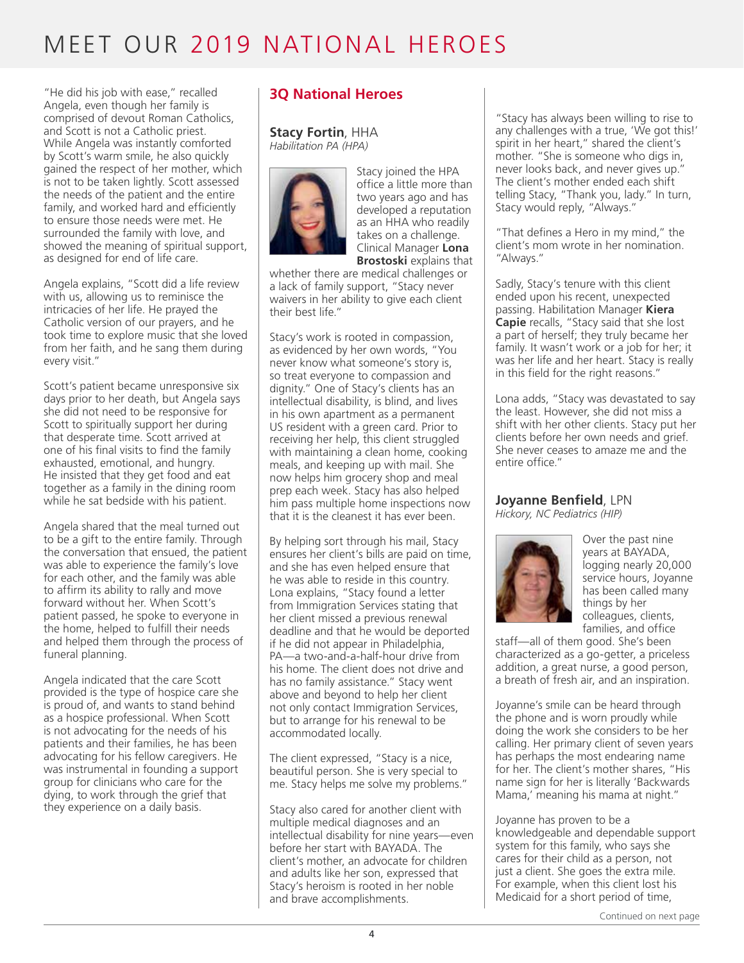"He did his job with ease," recalled Angela, even though her family is comprised of devout Roman Catholics, and Scott is not a Catholic priest. While Angela was instantly comforted by Scott's warm smile, he also quickly gained the respect of her mother, which is not to be taken lightly. Scott assessed the needs of the patient and the entire family, and worked hard and efficiently to ensure those needs were met. He surrounded the family with love, and showed the meaning of spiritual support, as designed for end of life care.

Angela explains, "Scott did a life review with us, allowing us to reminisce the intricacies of her life. He prayed the Catholic version of our prayers, and he took time to explore music that she loved from her faith, and he sang them during every visit."

Scott's patient became unresponsive six days prior to her death, but Angela says she did not need to be responsive for Scott to spiritually support her during that desperate time. Scott arrived at one of his final visits to find the family exhausted, emotional, and hungry. He insisted that they get food and eat together as a family in the dining room while he sat bedside with his patient.

Angela shared that the meal turned out to be a gift to the entire family. Through the conversation that ensued, the patient was able to experience the family's love for each other, and the family was able to affirm its ability to rally and move forward without her. When Scott's patient passed, he spoke to everyone in the home, helped to fulfill their needs and helped them through the process of funeral planning.

Angela indicated that the care Scott provided is the type of hospice care she is proud of, and wants to stand behind as a hospice professional. When Scott is not advocating for the needs of his patients and their families, he has been advocating for his fellow caregivers. He was instrumental in founding a support group for clinicians who care for the dying, to work through the grief that they experience on a daily basis.

### **3Q National Heroes**

**Stacy Fortin**, HHA *Habilitation PA (HPA)*



Stacy joined the HPA office a little more than two years ago and has developed a reputation as an HHA who readily takes on a challenge. Clinical Manager **Lona Brostoski** explains that

whether there are medical challenges or a lack of family support, "Stacy never waivers in her ability to give each client their best life."

Stacy's work is rooted in compassion, as evidenced by her own words, "You never know what someone's story is, so treat everyone to compassion and dignity." One of Stacy's clients has an intellectual disability, is blind, and lives in his own apartment as a permanent US resident with a green card. Prior to receiving her help, this client struggled with maintaining a clean home, cooking meals, and keeping up with mail. She now helps him grocery shop and meal prep each week. Stacy has also helped him pass multiple home inspections now that it is the cleanest it has ever been.

By helping sort through his mail, Stacy ensures her client's bills are paid on time, and she has even helped ensure that he was able to reside in this country. Lona explains, "Stacy found a letter from Immigration Services stating that her client missed a previous renewal deadline and that he would be deported if he did not appear in Philadelphia, PA—a two-and-a-half-hour drive from his home. The client does not drive and has no family assistance." Stacy went above and beyond to help her client not only contact Immigration Services, but to arrange for his renewal to be accommodated locally.

The client expressed, "Stacy is a nice, beautiful person. She is very special to me. Stacy helps me solve my problems."

Stacy also cared for another client with multiple medical diagnoses and an intellectual disability for nine years—even before her start with BAYADA. The client's mother, an advocate for children and adults like her son, expressed that Stacy's heroism is rooted in her noble and brave accomplishments.

"Stacy has always been willing to rise to any challenges with a true, 'We got this!' spirit in her heart," shared the client's mother. "She is someone who digs in, never looks back, and never gives up." The client's mother ended each shift telling Stacy, "Thank you, lady." In turn, Stacy would reply, "Always."

"That defines a Hero in my mind," the client's mom wrote in her nomination. "Always."

Sadly, Stacy's tenure with this client ended upon his recent, unexpected passing. Habilitation Manager **Kiera Capie** recalls, "Stacy said that she lost a part of herself; they truly became her family. It wasn't work or a job for her; it was her life and her heart. Stacy is really in this field for the right reasons."

Lona adds, "Stacy was devastated to say the least. However, she did not miss a shift with her other clients. Stacy put her clients before her own needs and grief. She never ceases to amaze me and the entire office."

#### **Joyanne Benfield**, LPN

*Hickory, NC Pediatrics (HIP)* 



Over the past nine years at BAYADA, logging nearly 20,000 service hours, Joyanne has been called many things by her colleagues, clients, families, and office

staff—all of them good. She's been characterized as a go-getter, a priceless addition, a great nurse, a good person, a breath of fresh air, and an inspiration.

Joyanne's smile can be heard through the phone and is worn proudly while doing the work she considers to be her calling. Her primary client of seven years has perhaps the most endearing name for her. The client's mother shares, "His name sign for her is literally 'Backwards Mama,' meaning his mama at night."

Joyanne has proven to be a knowledgeable and dependable support system for this family, who says she cares for their child as a person, not just a client. She goes the extra mile. For example, when this client lost his Medicaid for a short period of time,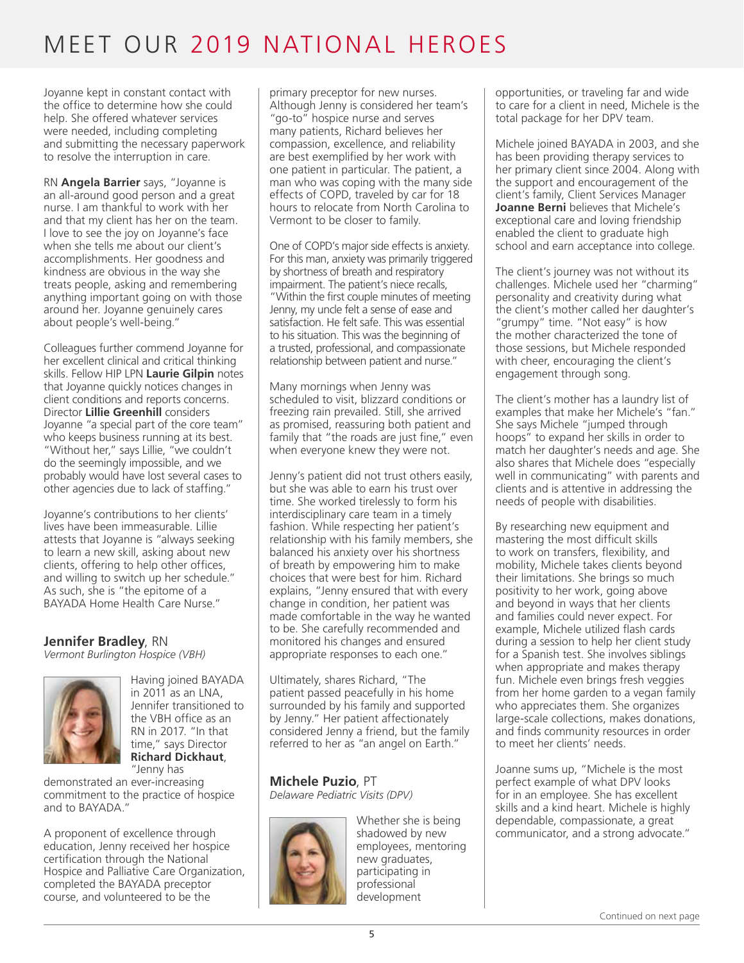Joyanne kept in constant contact with the office to determine how she could help. She offered whatever services were needed, including completing and submitting the necessary paperwork to resolve the interruption in care.

RN **Angela Barrier** says, "Joyanne is an all-around good person and a great nurse. I am thankful to work with her and that my client has her on the team. I love to see the joy on Joyanne's face when she tells me about our client's accomplishments. Her goodness and kindness are obvious in the way she treats people, asking and remembering anything important going on with those around her. Joyanne genuinely cares about people's well-being."

Colleagues further commend Joyanne for her excellent clinical and critical thinking skills. Fellow HIP LPN **Laurie Gilpin** notes that Joyanne quickly notices changes in client conditions and reports concerns. Director **Lillie Greenhill** considers Joyanne "a special part of the core team" who keeps business running at its best. "Without her," says Lillie, "we couldn't do the seemingly impossible, and we probably would have lost several cases to other agencies due to lack of staffing."

Joyanne's contributions to her clients' lives have been immeasurable. Lillie attests that Joyanne is "always seeking to learn a new skill, asking about new clients, offering to help other offices, and willing to switch up her schedule." As such, she is "the epitome of a BAYADA Home Health Care Nurse."

#### **Jennifer Bradley**, RN *Vermont Burlington Hospice (VBH)*



Having joined BAYADA in 2011 as an LNA, Jennifer transitioned to the VBH office as an RN in 2017. "In that time," says Director **Richard Dickhaut**, "Jenny has

demonstrated an ever-increasing commitment to the practice of hospice and to BAYADA."

A proponent of excellence through education, Jenny received her hospice certification through the National Hospice and Palliative Care Organization, completed the BAYADA preceptor course, and volunteered to be the

primary preceptor for new nurses. Although Jenny is considered her team's "go-to" hospice nurse and serves many patients, Richard believes her compassion, excellence, and reliability are best exemplified by her work with one patient in particular. The patient, a man who was coping with the many side effects of COPD, traveled by car for 18 hours to relocate from North Carolina to Vermont to be closer to family.

One of COPD's major side effects is anxiety. For this man, anxiety was primarily triggered by shortness of breath and respiratory impairment. The patient's niece recalls, "Within the first couple minutes of meeting Jenny, my uncle felt a sense of ease and satisfaction. He felt safe. This was essential to his situation. This was the beginning of a trusted, professional, and compassionate relationship between patient and nurse."

Many mornings when Jenny was scheduled to visit, blizzard conditions or freezing rain prevailed. Still, she arrived as promised, reassuring both patient and family that "the roads are just fine," even when everyone knew they were not.

Jenny's patient did not trust others easily, but she was able to earn his trust over time. She worked tirelessly to form his interdisciplinary care team in a timely fashion. While respecting her patient's relationship with his family members, she balanced his anxiety over his shortness of breath by empowering him to make choices that were best for him. Richard explains, "Jenny ensured that with every change in condition, her patient was made comfortable in the way he wanted to be. She carefully recommended and monitored his changes and ensured appropriate responses to each one."

Ultimately, shares Richard, "The patient passed peacefully in his home surrounded by his family and supported by Jenny." Her patient affectionately considered Jenny a friend, but the family referred to her as "an angel on Earth."

**Michele Puzio**, PT *Delaware Pediatric Visits (DPV)*



Whether she is being shadowed by new employees, mentoring new graduates, participating in professional development

opportunities, or traveling far and wide to care for a client in need, Michele is the total package for her DPV team.

Michele joined BAYADA in 2003, and she has been providing therapy services to her primary client since 2004. Along with the support and encouragement of the client's family, Client Services Manager **Joanne Berni** believes that Michele's exceptional care and loving friendship enabled the client to graduate high school and earn acceptance into college.

The client's journey was not without its challenges. Michele used her "charming" personality and creativity during what the client's mother called her daughter's "grumpy" time. "Not easy" is how the mother characterized the tone of those sessions, but Michele responded with cheer, encouraging the client's engagement through song.

The client's mother has a laundry list of examples that make her Michele's "fan." She says Michele "jumped through hoops" to expand her skills in order to match her daughter's needs and age. She also shares that Michele does "especially well in communicating" with parents and clients and is attentive in addressing the needs of people with disabilities.

By researching new equipment and mastering the most difficult skills to work on transfers, flexibility, and mobility, Michele takes clients beyond their limitations. She brings so much positivity to her work, going above and beyond in ways that her clients and families could never expect. For example, Michele utilized flash cards during a session to help her client study for a Spanish test. She involves siblings when appropriate and makes therapy fun. Michele even brings fresh veggies from her home garden to a vegan family who appreciates them. She organizes large-scale collections, makes donations, and finds community resources in order to meet her clients' needs.

Joanne sums up, "Michele is the most perfect example of what DPV looks for in an employee. She has excellent skills and a kind heart. Michele is highly dependable, compassionate, a great communicator, and a strong advocate."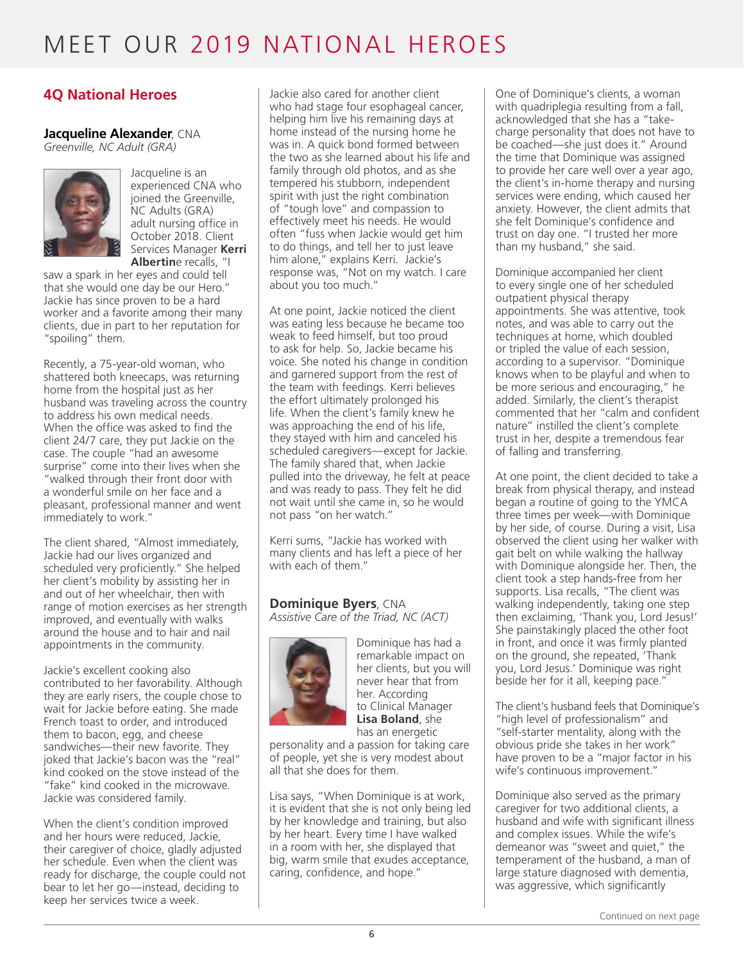### **4Q National Heroes**

#### **Jacqueline Alexander**, CNA

*Greenville, NC Adult (GRA)*



Jacqueline is an experienced CNA who joined the Greenville, NC Adults (GRA) adult nursing office in October 2018. Client Services Manager **Kerri Albertin**e recalls, "I

saw a spark in her eyes and could tell that she would one day be our Hero." Jackie has since proven to be a hard worker and a favorite among their many clients, due in part to her reputation for "spoiling" them.

Recently, a 75-year-old woman, who shattered both kneecaps, was returning home from the hospital just as her husband was traveling across the country to address his own medical needs. When the office was asked to find the client 24/7 care, they put Jackie on the case. The couple "had an awesome surprise" come into their lives when she "walked through their front door with a wonderful smile on her face and a pleasant, professional manner and went immediately to work."

The client shared, "Almost immediately, Jackie had our lives organized and scheduled very proficiently." She helped her client's mobility by assisting her in and out of her wheelchair, then with range of motion exercises as her strength improved, and eventually with walks around the house and to hair and nail appointments in the community.

Jackie's excellent cooking also contributed to her favorability. Although they are early risers, the couple chose to wait for Jackie before eating. She made French toast to order, and introduced them to bacon, egg, and cheese sandwiches—their new favorite. They joked that Jackie's bacon was the "real" kind cooked on the stove instead of the "fake" kind cooked in the microwave. Jackie was considered family.

When the client's condition improved and her hours were reduced, Jackie, their caregiver of choice, gladly adjusted her schedule. Even when the client was ready for discharge, the couple could not bear to let her go—instead, deciding to keep her services twice a week.

Jackie also cared for another client who had stage four esophageal cancer, helping him live his remaining days at home instead of the nursing home he was in. A quick bond formed between the two as she learned about his life and family through old photos, and as she tempered his stubborn, independent spirit with just the right combination of "tough love" and compassion to effectively meet his needs. He would often "fuss when Jackie would get him to do things, and tell her to just leave him alone," explains Kerri. Jackie's response was, "Not on my watch. I care about you too much."

At one point, Jackie noticed the client was eating less because he became too weak to feed himself, but too proud to ask for help. So, Jackie became his voice. She noted his change in condition and garnered support from the rest of the team with feedings. Kerri believes the effort ultimately prolonged his life. When the client's family knew he was approaching the end of his life, they stayed with him and canceled his scheduled caregivers—except for Jackie. The family shared that, when Jackie pulled into the driveway, he felt at peace and was ready to pass. They felt he did not wait until she came in, so he would not pass "on her watch."

Kerri sums, "Jackie has worked with many clients and has left a piece of her with each of them."

### **Dominique Byers**, CNA

*Assistive Care of the Triad, NC (ACT)* 



Dominique has had a remarkable impact on her clients, but you will never hear that from her. According to Clinical Manager **Lisa Boland**, she has an energetic

personality and a passion for taking care of people, yet she is very modest about all that she does for them.

Lisa says, "When Dominique is at work, it is evident that she is not only being led by her knowledge and training, but also by her heart. Every time I have walked in a room with her, she displayed that big, warm smile that exudes acceptance, caring, confidence, and hope."

One of Dominique's clients, a woman with quadriplegia resulting from a fall, acknowledged that she has a "takecharge personality that does not have to be coached—she just does it." Around the time that Dominique was assigned to provide her care well over a year ago, the client's in-home therapy and nursing services were ending, which caused her anxiety. However, the client admits that she felt Dominique's confidence and trust on day one. "I trusted her more than my husband," she said.

Dominique accompanied her client to every single one of her scheduled outpatient physical therapy appointments. She was attentive, took notes, and was able to carry out the techniques at home, which doubled or tripled the value of each session, according to a supervisor. "Dominique knows when to be playful and when to be more serious and encouraging," he added. Similarly, the client's therapist commented that her "calm and confident nature" instilled the client's complete trust in her, despite a tremendous fear of falling and transferring.

At one point, the client decided to take a break from physical therapy, and instead began a routine of going to the YMCA three times per week—with Dominique by her side, of course. During a visit, Lisa observed the client using her walker with gait belt on while walking the hallway with Dominique alongside her. Then, the client took a step hands-free from her supports. Lisa recalls, "The client was walking independently, taking one step then exclaiming, 'Thank you, Lord Jesus!' She painstakingly placed the other foot in front, and once it was firmly planted on the ground, she repeated, 'Thank you, Lord Jesus.' Dominique was right beside her for it all, keeping pace."

The client's husband feels that Dominique's "high level of professionalism" and "self-starter mentality, along with the obvious pride she takes in her work" have proven to be a "major factor in his wife's continuous improvement."

Dominique also served as the primary caregiver for two additional clients, a husband and wife with significant illness and complex issues. While the wife's demeanor was "sweet and quiet," the temperament of the husband, a man of large stature diagnosed with dementia, was aggressive, which significantly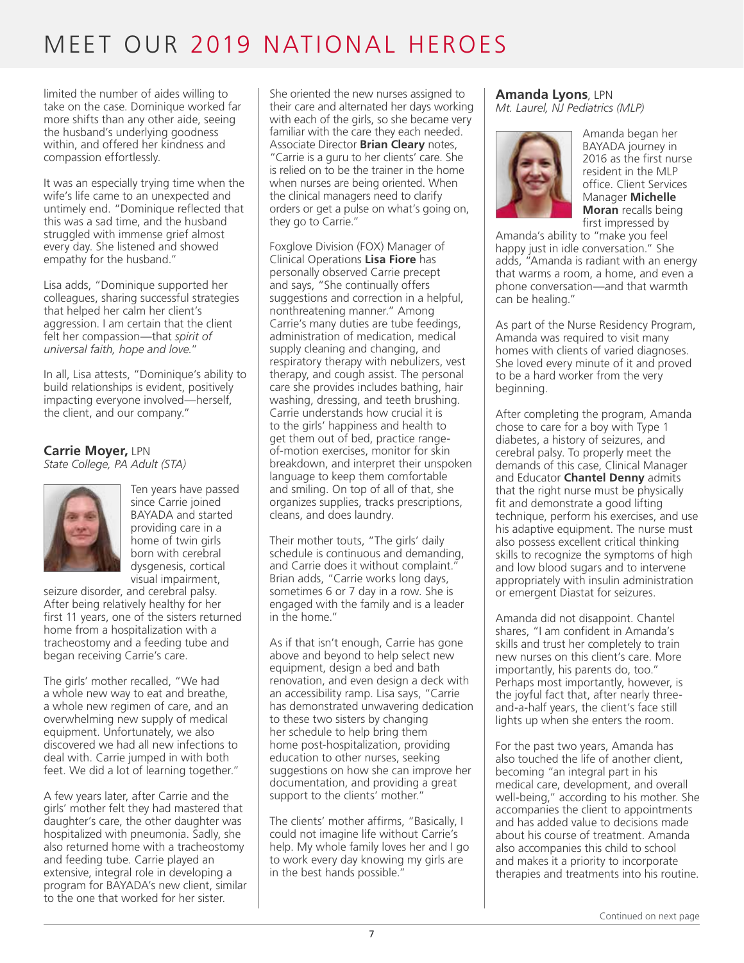limited the number of aides willing to take on the case. Dominique worked far more shifts than any other aide, seeing the husband's underlying goodness within, and offered her kindness and compassion effortlessly.

It was an especially trying time when the wife's life came to an unexpected and untimely end. "Dominique reflected that this was a sad time, and the husband struggled with immense grief almost every day. She listened and showed empathy for the husband."

Lisa adds, "Dominique supported her colleagues, sharing successful strategies that helped her calm her client's aggression. I am certain that the client felt her compassion—that *spirit of universal faith, hope and love.*"

In all, Lisa attests, "Dominique's ability to build relationships is evident, positively impacting everyone involved—herself, the client, and our company."

### **Carrie Moyer,** LPN

*State College, PA Adult (STA)*



Ten years have passed since Carrie joined BAYADA and started providing care in a home of twin girls born with cerebral dysgenesis, cortical visual impairment,

seizure disorder, and cerebral palsy. After being relatively healthy for her first 11 years, one of the sisters returned home from a hospitalization with a tracheostomy and a feeding tube and began receiving Carrie's care.

The girls' mother recalled, "We had a whole new way to eat and breathe, a whole new regimen of care, and an overwhelming new supply of medical equipment. Unfortunately, we also discovered we had all new infections to deal with. Carrie jumped in with both feet. We did a lot of learning together."

A few years later, after Carrie and the girls' mother felt they had mastered that daughter's care, the other daughter was hospitalized with pneumonia. Sadly, she also returned home with a tracheostomy and feeding tube. Carrie played an extensive, integral role in developing a program for BAYADA's new client, similar to the one that worked for her sister.

She oriented the new nurses assigned to their care and alternated her days working with each of the girls, so she became very familiar with the care they each needed. Associate Director **Brian Cleary** notes, "Carrie is a guru to her clients' care. She is relied on to be the trainer in the home when nurses are being oriented. When the clinical managers need to clarify orders or get a pulse on what's going on, they go to Carrie."

Foxglove Division (FOX) Manager of Clinical Operations **Lisa Fiore** has personally observed Carrie precept and says, "She continually offers suggestions and correction in a helpful, nonthreatening manner." Among Carrie's many duties are tube feedings, administration of medication, medical supply cleaning and changing, and respiratory therapy with nebulizers, vest therapy, and cough assist. The personal care she provides includes bathing, hair washing, dressing, and teeth brushing. Carrie understands how crucial it is to the girls' happiness and health to get them out of bed, practice rangeof-motion exercises, monitor for skin breakdown, and interpret their unspoken language to keep them comfortable and smiling. On top of all of that, she organizes supplies, tracks prescriptions, cleans, and does laundry.

Their mother touts, "The girls' daily schedule is continuous and demanding, and Carrie does it without complaint." Brian adds, "Carrie works long days, sometimes 6 or 7 day in a row. She is engaged with the family and is a leader in the home."

As if that isn't enough, Carrie has gone above and beyond to help select new equipment, design a bed and bath renovation, and even design a deck with an accessibility ramp. Lisa says, "Carrie has demonstrated unwavering dedication to these two sisters by changing her schedule to help bring them home post-hospitalization, providing education to other nurses, seeking suggestions on how she can improve her documentation, and providing a great support to the clients' mother.'

The clients' mother affirms, "Basically, I could not imagine life without Carrie's help. My whole family loves her and I go to work every day knowing my girls are in the best hands possible."

#### **Amanda Lyons**, LPN *Mt. Laurel, NJ Pediatrics (MLP)*



Amanda began her BAYADA journey in 2016 as the first nurse resident in the MLP office. Client Services Manager **Michelle Moran** recalls being first impressed by

Amanda's ability to "make you feel happy just in idle conversation." She adds, "Amanda is radiant with an energy that warms a room, a home, and even a phone conversation—and that warmth can be healing."

As part of the Nurse Residency Program, Amanda was required to visit many homes with clients of varied diagnoses. She loved every minute of it and proved to be a hard worker from the very beginning.

After completing the program, Amanda chose to care for a boy with Type 1 diabetes, a history of seizures, and cerebral palsy. To properly meet the demands of this case, Clinical Manager and Educator **Chantel Denny** admits that the right nurse must be physically fit and demonstrate a good lifting technique, perform his exercises, and use his adaptive equipment. The nurse must also possess excellent critical thinking skills to recognize the symptoms of high and low blood sugars and to intervene appropriately with insulin administration or emergent Diastat for seizures.

Amanda did not disappoint. Chantel shares, "I am confident in Amanda's skills and trust her completely to train new nurses on this client's care. More importantly, his parents do, too." Perhaps most importantly, however, is the joyful fact that, after nearly threeand-a-half years, the client's face still lights up when she enters the room.

For the past two years, Amanda has also touched the life of another client, becoming "an integral part in his medical care, development, and overall well-being," according to his mother. She accompanies the client to appointments and has added value to decisions made about his course of treatment. Amanda also accompanies this child to school and makes it a priority to incorporate therapies and treatments into his routine.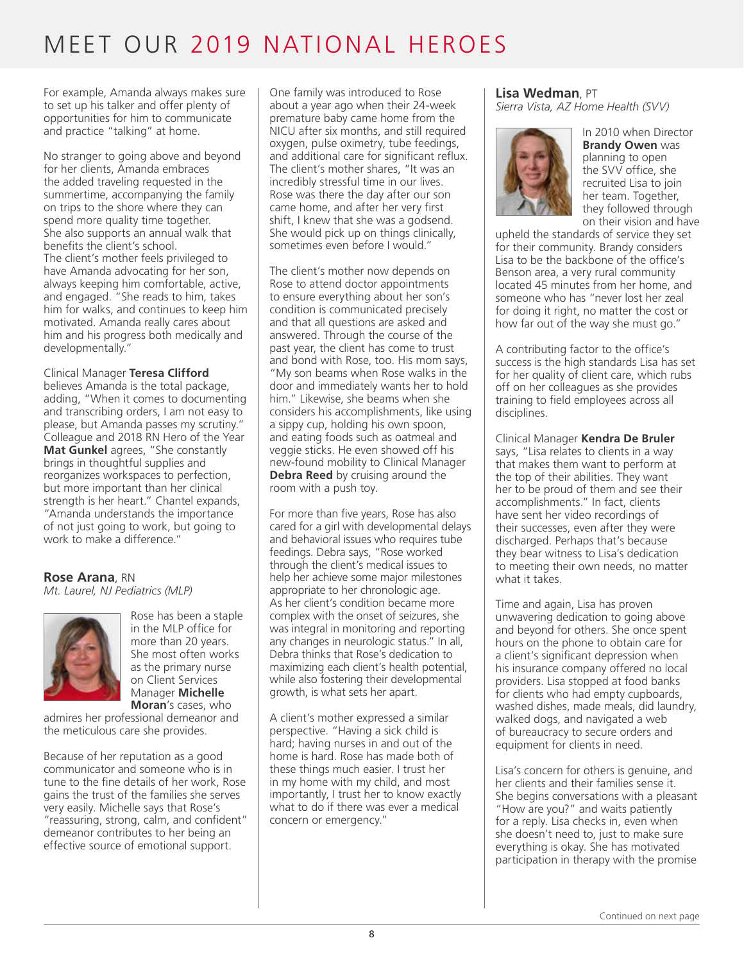For example, Amanda always makes sure to set up his talker and offer plenty of opportunities for him to communicate and practice "talking" at home.

No stranger to going above and beyond for her clients, Amanda embraces the added traveling requested in the summertime, accompanying the family on trips to the shore where they can spend more quality time together. She also supports an annual walk that benefits the client's school. The client's mother feels privileged to have Amanda advocating for her son, always keeping him comfortable, active, and engaged. "She reads to him, takes him for walks, and continues to keep him motivated. Amanda really cares about him and his progress both medically and developmentally."

Clinical Manager **Teresa Clifford** believes Amanda is the total package, adding, "When it comes to documenting and transcribing orders, I am not easy to please, but Amanda passes my scrutiny." Colleague and 2018 RN Hero of the Year **Mat Gunkel** agrees, "She constantly brings in thoughtful supplies and reorganizes workspaces to perfection, but more important than her clinical strength is her heart." Chantel expands, "Amanda understands the importance of not just going to work, but going to work to make a difference."

#### **Rose Arana**, RN *Mt. Laurel, NJ Pediatrics (MLP)*



Rose has been a staple in the MLP office for more than 20 years. She most often works as the primary nurse on Client Services Manager **Michelle Moran**'s cases, who

admires her professional demeanor and the meticulous care she provides.

Because of her reputation as a good communicator and someone who is in tune to the fine details of her work, Rose gains the trust of the families she serves very easily. Michelle says that Rose's "reassuring, strong, calm, and confident" demeanor contributes to her being an effective source of emotional support.

One family was introduced to Rose about a year ago when their 24-week premature baby came home from the NICU after six months, and still required oxygen, pulse oximetry, tube feedings, and additional care for significant reflux. The client's mother shares, "It was an incredibly stressful time in our lives. Rose was there the day after our son came home, and after her very first shift, I knew that she was a godsend. She would pick up on things clinically, sometimes even before I would."

The client's mother now depends on Rose to attend doctor appointments to ensure everything about her son's condition is communicated precisely and that all questions are asked and answered. Through the course of the past year, the client has come to trust and bond with Rose, too. His mom says, "My son beams when Rose walks in the door and immediately wants her to hold him." Likewise, she beams when she considers his accomplishments, like using a sippy cup, holding his own spoon, and eating foods such as oatmeal and veggie sticks. He even showed off his new-found mobility to Clinical Manager **Debra Reed** by cruising around the room with a push toy.

For more than five years, Rose has also cared for a girl with developmental delays and behavioral issues who requires tube feedings. Debra says, "Rose worked through the client's medical issues to help her achieve some major milestones appropriate to her chronologic age. As her client's condition became more complex with the onset of seizures, she was integral in monitoring and reporting any changes in neurologic status." In all, Debra thinks that Rose's dedication to maximizing each client's health potential, while also fostering their developmental growth, is what sets her apart.

A client's mother expressed a similar perspective. "Having a sick child is hard; having nurses in and out of the home is hard. Rose has made both of these things much easier. I trust her in my home with my child, and most importantly, I trust her to know exactly what to do if there was ever a medical concern or emergency."

### **Lisa Wedman**, PT

*Sierra Vista, AZ Home Health (SVV)*



In 2010 when Director **Brandy Owen** was planning to open the SVV office, she recruited Lisa to join her team. Together, they followed through on their vision and have

upheld the standards of service they set for their community. Brandy considers Lisa to be the backbone of the office's Benson area, a very rural community located 45 minutes from her home, and someone who has "never lost her zeal for doing it right, no matter the cost or how far out of the way she must go."

A contributing factor to the office's success is the high standards Lisa has set for her quality of client care, which rubs off on her colleagues as she provides training to field employees across all disciplines.

Clinical Manager **Kendra De Bruler** says, "Lisa relates to clients in a way that makes them want to perform at the top of their abilities. They want her to be proud of them and see their accomplishments." In fact, clients have sent her video recordings of their successes, even after they were discharged. Perhaps that's because they bear witness to Lisa's dedication to meeting their own needs, no matter what it takes.

Time and again, Lisa has proven unwavering dedication to going above and beyond for others. She once spent hours on the phone to obtain care for a client's significant depression when his insurance company offered no local providers. Lisa stopped at food banks for clients who had empty cupboards, washed dishes, made meals, did laundry, walked dogs, and navigated a web of bureaucracy to secure orders and equipment for clients in need.

Lisa's concern for others is genuine, and her clients and their families sense it. She begins conversations with a pleasant "How are you?" and waits patiently for a reply. Lisa checks in, even when she doesn't need to, just to make sure everything is okay. She has motivated participation in therapy with the promise